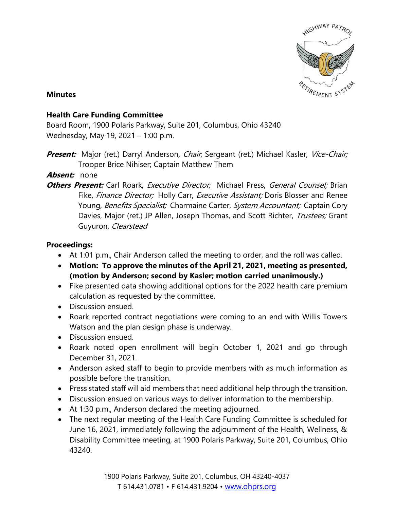

### **Minutes**

## **Health Care Funding Committee**

Board Room, 1900 Polaris Parkway, Suite 201, Columbus, Ohio 43240 Wednesday, May 19, 2021 – 1:00 p.m.

**Present:** Major (ret.) Darryl Anderson, Chair, Sergeant (ret.) Michael Kasler, Vice-Chair; Trooper Brice Nihiser; Captain Matthew Them

## **Absent:** none

**Others Present:** Carl Roark, *Executive Director;* Michael Press, *General Counsel;* Brian Fike, Finance Director; Holly Carr, Executive Assistant; Doris Blosser and Renee Young, Benefits Specialist; Charmaine Carter, System Accountant; Captain Cory Davies, Major (ret.) JP Allen, Joseph Thomas, and Scott Richter, Trustees; Grant Guyuron, Clearstead

## **Proceedings:**

- At 1:01 p.m., Chair Anderson called the meeting to order, and the roll was called.
- **Motion: To approve the minutes of the April 21, 2021, meeting as presented, (motion by Anderson; second by Kasler; motion carried unanimously.)**
- Fike presented data showing additional options for the 2022 health care premium calculation as requested by the committee.
- Discussion ensued.
- Roark reported contract negotiations were coming to an end with Willis Towers Watson and the plan design phase is underway.
- Discussion ensued.
- Roark noted open enrollment will begin October 1, 2021 and go through December 31, 2021.
- Anderson asked staff to begin to provide members with as much information as possible before the transition.
- Press stated staff will aid members that need additional help through the transition.
- Discussion ensued on various ways to deliver information to the membership.
- At 1:30 p.m., Anderson declared the meeting adjourned.
- The next regular meeting of the Health Care Funding Committee is scheduled for June 16, 2021, immediately following the adjournment of the Health, Wellness, & Disability Committee meeting, at 1900 Polaris Parkway, Suite 201, Columbus, Ohio 43240.